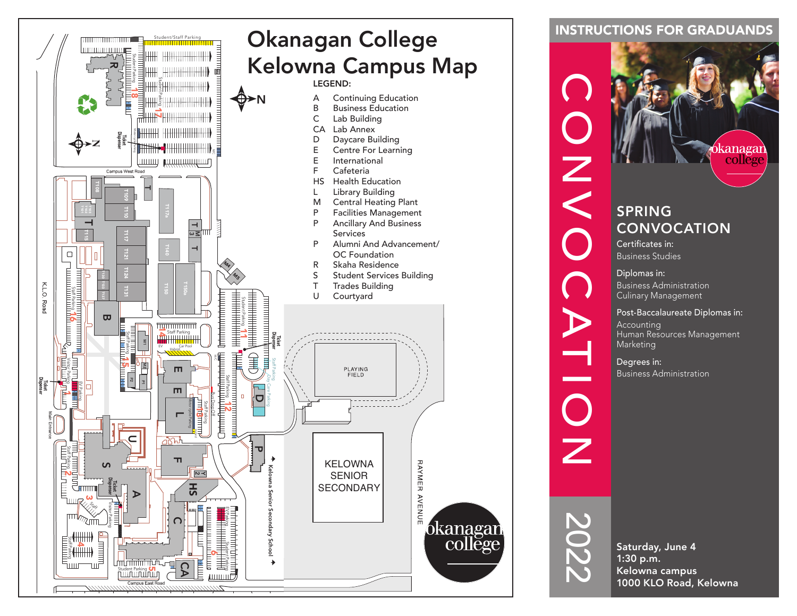

### INSTRUCTIONS FOR GRADUANDS